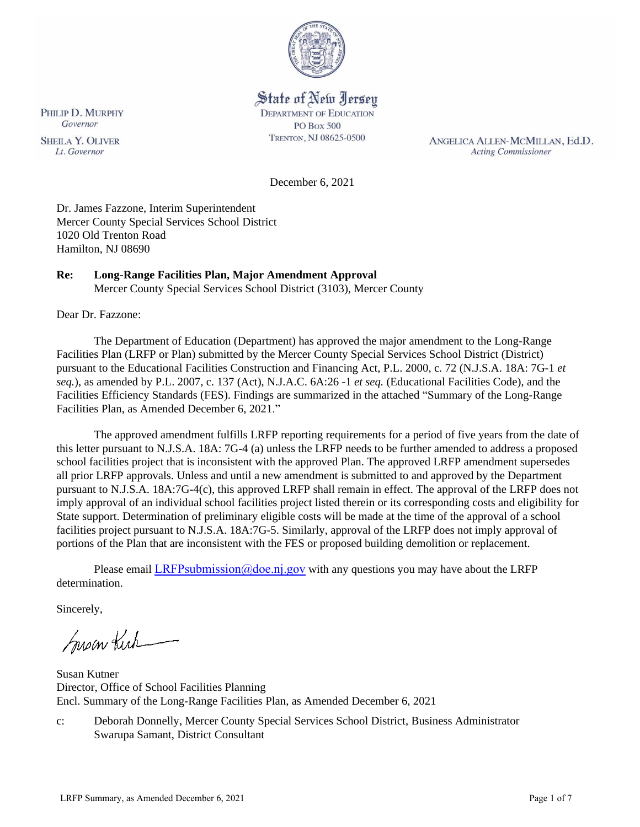

# State of New Jersey

**DEPARTMENT OF EDUCATION PO Box 500** TRENTON, NJ 08625-0500

ANGELICA ALLEN-MCMILLAN, Ed.D. **Acting Commissioner** 

December 6, 2021

Dr. James Fazzone, Interim Superintendent Mercer County Special Services School District 1020 Old Trenton Road Hamilton, NJ 08690

# **Re: Long-Range Facilities Plan, Major Amendment Approval**

Mercer County Special Services School District (3103), Mercer County

Dear Dr. Fazzone:

The Department of Education (Department) has approved the major amendment to the Long-Range Facilities Plan (LRFP or Plan) submitted by the Mercer County Special Services School District (District) pursuant to the Educational Facilities Construction and Financing Act, P.L. 2000, c. 72 (N.J.S.A. 18A: 7G-1 *et seq.*), as amended by P.L. 2007, c. 137 (Act), N.J.A.C. 6A:26 -1 *et seq.* (Educational Facilities Code), and the Facilities Efficiency Standards (FES). Findings are summarized in the attached "Summary of the Long-Range Facilities Plan, as Amended December 6, 2021."

The approved amendment fulfills LRFP reporting requirements for a period of five years from the date of this letter pursuant to N.J.S.A. 18A: 7G-4 (a) unless the LRFP needs to be further amended to address a proposed school facilities project that is inconsistent with the approved Plan. The approved LRFP amendment supersedes all prior LRFP approvals. Unless and until a new amendment is submitted to and approved by the Department pursuant to N.J.S.A. 18A:7G-4(c), this approved LRFP shall remain in effect. The approval of the LRFP does not imply approval of an individual school facilities project listed therein or its corresponding costs and eligibility for State support. Determination of preliminary eligible costs will be made at the time of the approval of a school facilities project pursuant to N.J.S.A. 18A:7G-5. Similarly, approval of the LRFP does not imply approval of portions of the Plan that are inconsistent with the FES or proposed building demolition or replacement.

Please email LRFPsubmission  $@doen$  i.gov with any questions you may have about the LRFP determination.

Sincerely,

Susan Kich

Susan Kutner Director, Office of School Facilities Planning Encl. Summary of the Long-Range Facilities Plan, as Amended December 6, 2021

c: Deborah Donnelly, Mercer County Special Services School District, Business Administrator Swarupa Samant, District Consultant

PHILIP D. MURPHY Governor

**SHEILA Y. OLIVER** Lt. Governor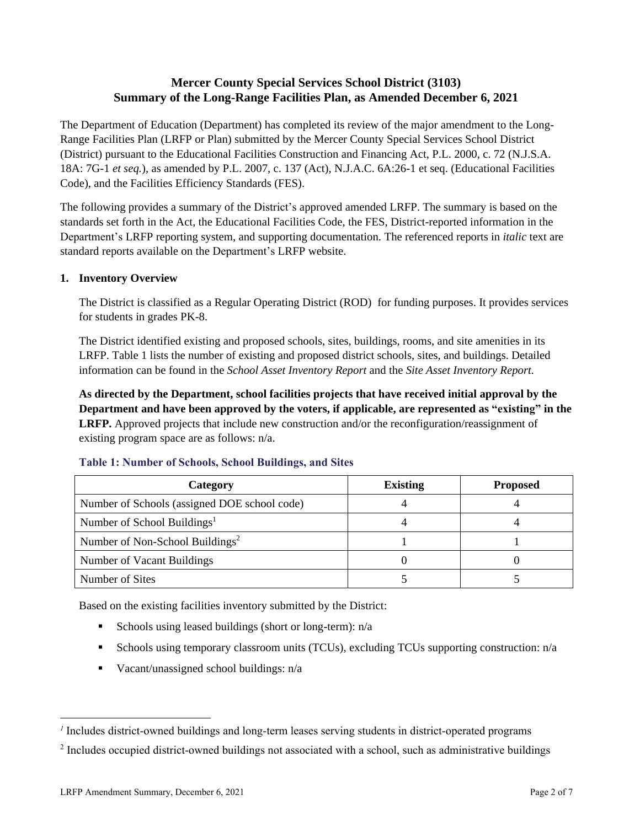# **Mercer County Special Services School District (3103) Summary of the Long-Range Facilities Plan, as Amended December 6, 2021**

The Department of Education (Department) has completed its review of the major amendment to the Long-Range Facilities Plan (LRFP or Plan) submitted by the Mercer County Special Services School District (District) pursuant to the Educational Facilities Construction and Financing Act, P.L. 2000, c. 72 (N.J.S.A. 18A: 7G-1 *et seq.*), as amended by P.L. 2007, c. 137 (Act), N.J.A.C. 6A:26-1 et seq. (Educational Facilities Code), and the Facilities Efficiency Standards (FES).

The following provides a summary of the District's approved amended LRFP. The summary is based on the standards set forth in the Act, the Educational Facilities Code, the FES, District-reported information in the Department's LRFP reporting system, and supporting documentation. The referenced reports in *italic* text are standard reports available on the Department's LRFP website.

## **1. Inventory Overview**

The District is classified as a Regular Operating District (ROD) for funding purposes. It provides services for students in grades PK-8.

The District identified existing and proposed schools, sites, buildings, rooms, and site amenities in its LRFP. Table 1 lists the number of existing and proposed district schools, sites, and buildings. Detailed information can be found in the *School Asset Inventory Report* and the *Site Asset Inventory Report.*

**As directed by the Department, school facilities projects that have received initial approval by the Department and have been approved by the voters, if applicable, are represented as "existing" in the LRFP.** Approved projects that include new construction and/or the reconfiguration/reassignment of existing program space are as follows: n/a.

| Category                                     | <b>Existing</b> | <b>Proposed</b> |
|----------------------------------------------|-----------------|-----------------|
| Number of Schools (assigned DOE school code) |                 |                 |
| Number of School Buildings <sup>1</sup>      |                 |                 |
| Number of Non-School Buildings <sup>2</sup>  |                 |                 |
| Number of Vacant Buildings                   |                 |                 |
| Number of Sites                              |                 |                 |

#### **Table 1: Number of Schools, School Buildings, and Sites**

Based on the existing facilities inventory submitted by the District:

- **•** Schools using leased buildings (short or long-term):  $n/a$
- Schools using temporary classroom units (TCUs), excluding TCUs supporting construction: n/a
- $\blacksquare$  Vacant/unassigned school buildings:  $n/a$

*<sup>1</sup>* Includes district-owned buildings and long-term leases serving students in district-operated programs

 $2$  Includes occupied district-owned buildings not associated with a school, such as administrative buildings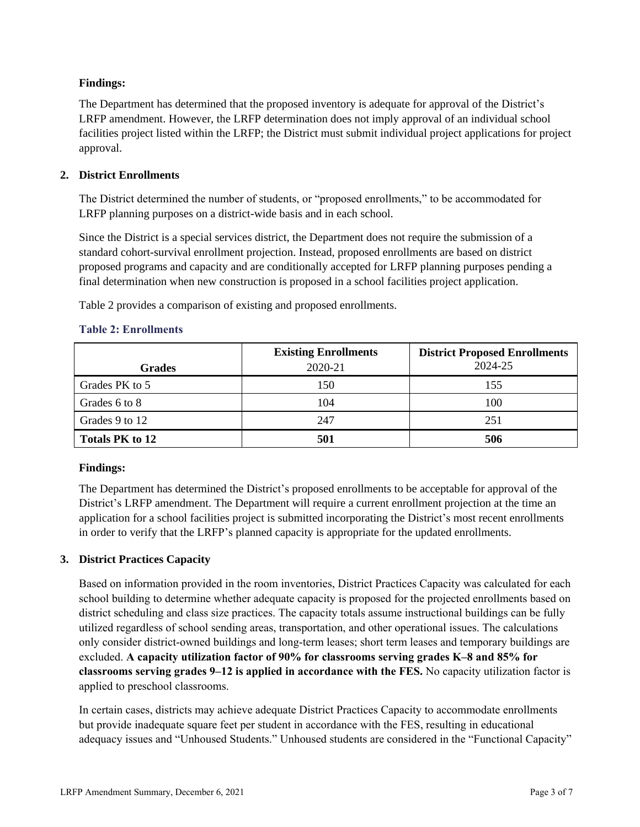## **Findings:**

The Department has determined that the proposed inventory is adequate for approval of the District's LRFP amendment. However, the LRFP determination does not imply approval of an individual school facilities project listed within the LRFP; the District must submit individual project applications for project approval.

## **2. District Enrollments**

The District determined the number of students, or "proposed enrollments," to be accommodated for LRFP planning purposes on a district-wide basis and in each school.

Since the District is a special services district, the Department does not require the submission of a standard cohort-survival enrollment projection. Instead, proposed enrollments are based on district proposed programs and capacity and are conditionally accepted for LRFP planning purposes pending a final determination when new construction is proposed in a school facilities project application.

Table 2 provides a comparison of existing and proposed enrollments.

| <b>Grades</b>   | <b>Existing Enrollments</b><br>2020-21 | <b>District Proposed Enrollments</b><br>2024-25 |
|-----------------|----------------------------------------|-------------------------------------------------|
| Grades PK to 5  | l 50                                   | 155                                             |
| Grades 6 to 8   | 104                                    | 100                                             |
| Grades 9 to 12  | 247                                    | 251                                             |
| Totals PK to 12 | 501                                    | 506                                             |

#### **Table 2: Enrollments**

## **Findings:**

The Department has determined the District's proposed enrollments to be acceptable for approval of the District's LRFP amendment. The Department will require a current enrollment projection at the time an application for a school facilities project is submitted incorporating the District's most recent enrollments in order to verify that the LRFP's planned capacity is appropriate for the updated enrollments.

## **3. District Practices Capacity**

Based on information provided in the room inventories, District Practices Capacity was calculated for each school building to determine whether adequate capacity is proposed for the projected enrollments based on district scheduling and class size practices. The capacity totals assume instructional buildings can be fully utilized regardless of school sending areas, transportation, and other operational issues. The calculations only consider district-owned buildings and long-term leases; short term leases and temporary buildings are excluded. **A capacity utilization factor of 90% for classrooms serving grades K–8 and 85% for classrooms serving grades 9–12 is applied in accordance with the FES.** No capacity utilization factor is applied to preschool classrooms.

In certain cases, districts may achieve adequate District Practices Capacity to accommodate enrollments but provide inadequate square feet per student in accordance with the FES, resulting in educational adequacy issues and "Unhoused Students." Unhoused students are considered in the "Functional Capacity"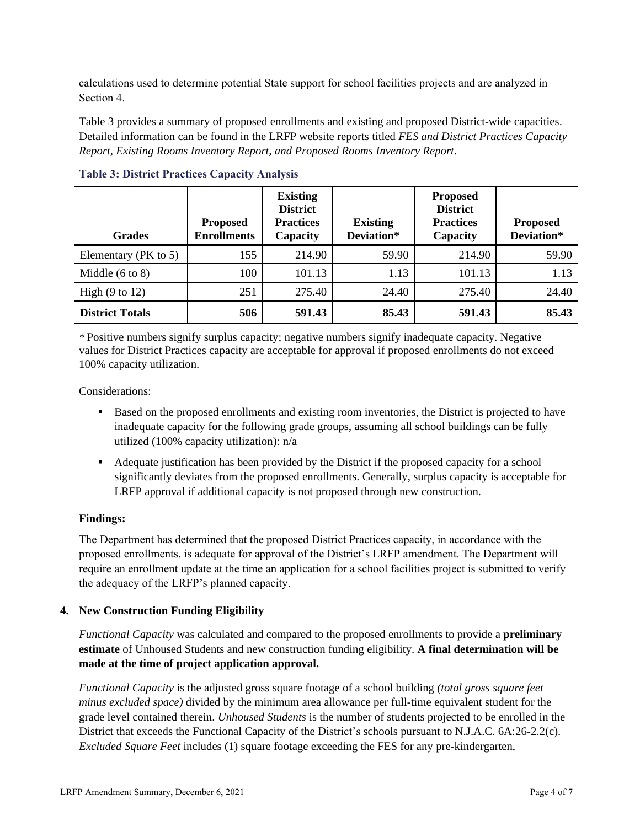calculations used to determine potential State support for school facilities projects and are analyzed in Section 4.

Table 3 provides a summary of proposed enrollments and existing and proposed District-wide capacities. Detailed information can be found in the LRFP website reports titled *FES and District Practices Capacity Report, Existing Rooms Inventory Report, and Proposed Rooms Inventory Report.*

| <b>Grades</b>              | <b>Proposed</b><br><b>Enrollments</b> | <b>Existing</b><br><b>District</b><br><b>Practices</b><br>Capacity | <b>Existing</b><br>Deviation* | <b>Proposed</b><br><b>District</b><br><b>Practices</b><br>Capacity | <b>Proposed</b><br>Deviation* |
|----------------------------|---------------------------------------|--------------------------------------------------------------------|-------------------------------|--------------------------------------------------------------------|-------------------------------|
| Elementary ( $PK$ to 5)    | 155                                   | 214.90                                                             | 59.90                         | 214.90                                                             | 59.90                         |
| Middle $(6 \text{ to } 8)$ | 100                                   | 101.13                                                             | 1.13                          | 101.13                                                             | 1.13                          |
| High $(9 \text{ to } 12)$  | 251                                   | 275.40                                                             | 24.40                         | 275.40                                                             | 24.40                         |
| <b>District Totals</b>     | 506                                   | 591.43                                                             | 85.43                         | 591.43                                                             | 85.43                         |

**Table 3: District Practices Capacity Analysis**

*\** Positive numbers signify surplus capacity; negative numbers signify inadequate capacity. Negative values for District Practices capacity are acceptable for approval if proposed enrollments do not exceed 100% capacity utilization.

Considerations:

- Based on the proposed enrollments and existing room inventories, the District is projected to have inadequate capacity for the following grade groups, assuming all school buildings can be fully utilized (100% capacity utilization): n/a
- Adequate justification has been provided by the District if the proposed capacity for a school significantly deviates from the proposed enrollments. Generally, surplus capacity is acceptable for LRFP approval if additional capacity is not proposed through new construction.

#### **Findings:**

The Department has determined that the proposed District Practices capacity, in accordance with the proposed enrollments, is adequate for approval of the District's LRFP amendment. The Department will require an enrollment update at the time an application for a school facilities project is submitted to verify the adequacy of the LRFP's planned capacity.

#### **4. New Construction Funding Eligibility**

*Functional Capacity* was calculated and compared to the proposed enrollments to provide a **preliminary estimate** of Unhoused Students and new construction funding eligibility. **A final determination will be made at the time of project application approval.**

*Functional Capacity* is the adjusted gross square footage of a school building *(total gross square feet minus excluded space)* divided by the minimum area allowance per full-time equivalent student for the grade level contained therein. *Unhoused Students* is the number of students projected to be enrolled in the District that exceeds the Functional Capacity of the District's schools pursuant to N.J.A.C. 6A:26-2.2(c). *Excluded Square Feet* includes (1) square footage exceeding the FES for any pre-kindergarten,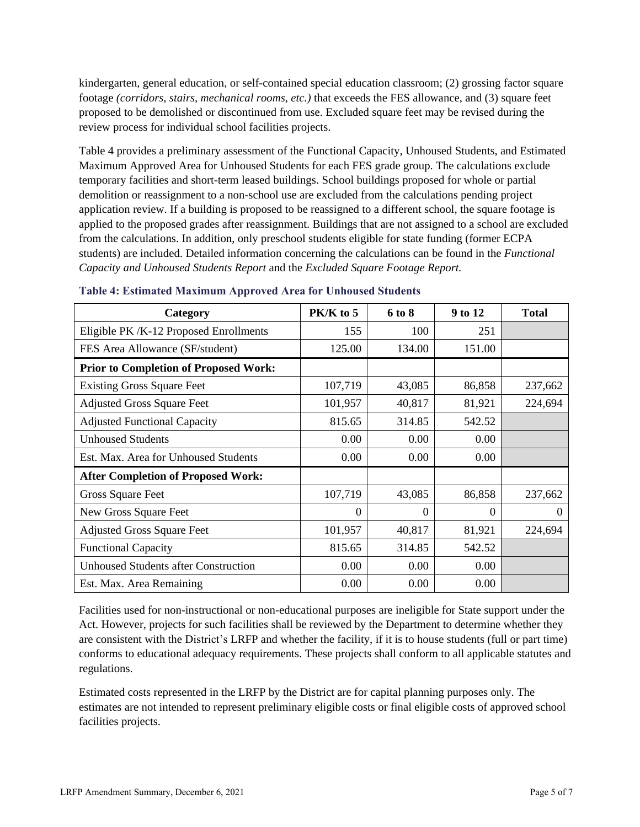kindergarten, general education, or self-contained special education classroom; (2) grossing factor square footage *(corridors, stairs, mechanical rooms, etc.)* that exceeds the FES allowance, and (3) square feet proposed to be demolished or discontinued from use. Excluded square feet may be revised during the review process for individual school facilities projects.

Table 4 provides a preliminary assessment of the Functional Capacity, Unhoused Students, and Estimated Maximum Approved Area for Unhoused Students for each FES grade group. The calculations exclude temporary facilities and short-term leased buildings. School buildings proposed for whole or partial demolition or reassignment to a non-school use are excluded from the calculations pending project application review. If a building is proposed to be reassigned to a different school, the square footage is applied to the proposed grades after reassignment. Buildings that are not assigned to a school are excluded from the calculations. In addition, only preschool students eligible for state funding (former ECPA students) are included. Detailed information concerning the calculations can be found in the *Functional Capacity and Unhoused Students Report* and the *Excluded Square Footage Report.*

| Category                                     | PK/K to 5 | 6 to 8   | 9 to 12  | <b>Total</b> |
|----------------------------------------------|-----------|----------|----------|--------------|
| Eligible PK /K-12 Proposed Enrollments       | 155       | 100      | 251      |              |
| FES Area Allowance (SF/student)              | 125.00    | 134.00   | 151.00   |              |
| <b>Prior to Completion of Proposed Work:</b> |           |          |          |              |
| <b>Existing Gross Square Feet</b>            | 107,719   | 43,085   | 86,858   | 237,662      |
| <b>Adjusted Gross Square Feet</b>            | 101,957   | 40,817   | 81,921   | 224,694      |
| <b>Adjusted Functional Capacity</b>          | 815.65    | 314.85   | 542.52   |              |
| <b>Unhoused Students</b>                     | 0.00      | 0.00     | 0.00     |              |
| Est. Max. Area for Unhoused Students         | 0.00      | 0.00     | 0.00     |              |
| <b>After Completion of Proposed Work:</b>    |           |          |          |              |
| Gross Square Feet                            | 107,719   | 43,085   | 86,858   | 237,662      |
| New Gross Square Feet                        | $\Omega$  | $\Omega$ | $\theta$ | $\theta$     |
| <b>Adjusted Gross Square Feet</b>            | 101,957   | 40,817   | 81,921   | 224,694      |
| <b>Functional Capacity</b>                   | 815.65    | 314.85   | 542.52   |              |
| <b>Unhoused Students after Construction</b>  | 0.00      | 0.00     | 0.00     |              |
| Est. Max. Area Remaining                     | 0.00      | 0.00     | 0.00     |              |

| <b>Table 4: Estimated Maximum Approved Area for Unhoused Students</b> |  |  |
|-----------------------------------------------------------------------|--|--|
|-----------------------------------------------------------------------|--|--|

Facilities used for non-instructional or non-educational purposes are ineligible for State support under the Act. However, projects for such facilities shall be reviewed by the Department to determine whether they are consistent with the District's LRFP and whether the facility, if it is to house students (full or part time) conforms to educational adequacy requirements. These projects shall conform to all applicable statutes and regulations.

Estimated costs represented in the LRFP by the District are for capital planning purposes only. The estimates are not intended to represent preliminary eligible costs or final eligible costs of approved school facilities projects.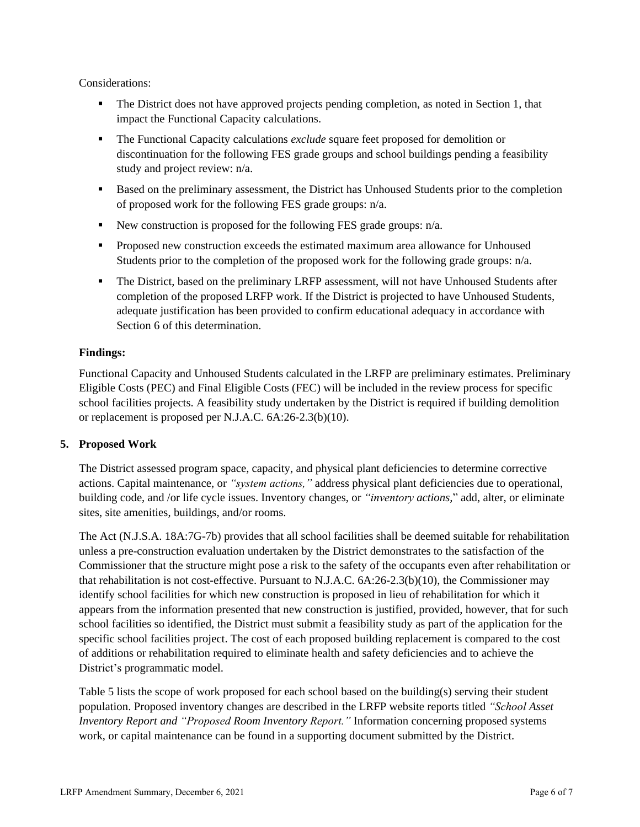Considerations:

- The District does not have approved projects pending completion, as noted in Section 1, that impact the Functional Capacity calculations.
- The Functional Capacity calculations *exclude* square feet proposed for demolition or discontinuation for the following FES grade groups and school buildings pending a feasibility study and project review: n/a.
- Based on the preliminary assessment, the District has Unhoused Students prior to the completion of proposed work for the following FES grade groups: n/a.
- New construction is proposed for the following FES grade groups: n/a.
- **•** Proposed new construction exceeds the estimated maximum area allowance for Unhoused Students prior to the completion of the proposed work for the following grade groups: n/a.
- **The District, based on the preliminary LRFP assessment, will not have Unhoused Students after** completion of the proposed LRFP work. If the District is projected to have Unhoused Students, adequate justification has been provided to confirm educational adequacy in accordance with Section 6 of this determination.

# **Findings:**

Functional Capacity and Unhoused Students calculated in the LRFP are preliminary estimates. Preliminary Eligible Costs (PEC) and Final Eligible Costs (FEC) will be included in the review process for specific school facilities projects. A feasibility study undertaken by the District is required if building demolition or replacement is proposed per N.J.A.C. 6A:26-2.3(b)(10).

## **5. Proposed Work**

The District assessed program space, capacity, and physical plant deficiencies to determine corrective actions. Capital maintenance, or *"system actions,"* address physical plant deficiencies due to operational, building code, and /or life cycle issues. Inventory changes, or *"inventory actions,*" add, alter, or eliminate sites, site amenities, buildings, and/or rooms.

The Act (N.J.S.A. 18A:7G-7b) provides that all school facilities shall be deemed suitable for rehabilitation unless a pre-construction evaluation undertaken by the District demonstrates to the satisfaction of the Commissioner that the structure might pose a risk to the safety of the occupants even after rehabilitation or that rehabilitation is not cost-effective. Pursuant to N.J.A.C. 6A:26-2.3(b)(10), the Commissioner may identify school facilities for which new construction is proposed in lieu of rehabilitation for which it appears from the information presented that new construction is justified, provided, however, that for such school facilities so identified, the District must submit a feasibility study as part of the application for the specific school facilities project. The cost of each proposed building replacement is compared to the cost of additions or rehabilitation required to eliminate health and safety deficiencies and to achieve the District's programmatic model.

Table 5 lists the scope of work proposed for each school based on the building(s) serving their student population. Proposed inventory changes are described in the LRFP website reports titled *"School Asset Inventory Report and "Proposed Room Inventory Report."* Information concerning proposed systems work, or capital maintenance can be found in a supporting document submitted by the District.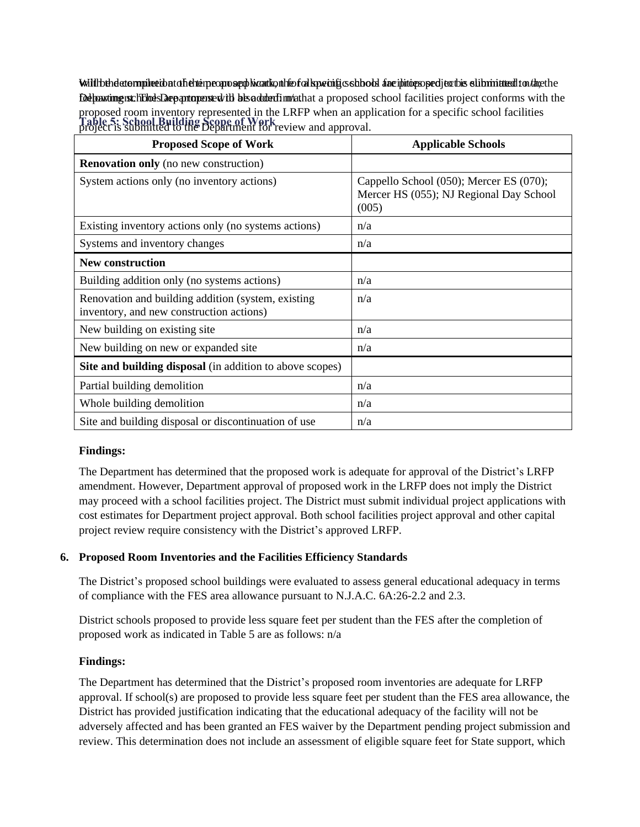Will behele to mpike tibat of hehtime app supply keant kontrolled to k pusific schools and intriduced to the the the submitted to a the the submitted to a the the Delparting is chosts are article to be added: the beadded in the area of the Department and the Department with the **Table 5: School Building Scope of Work** project is submitted to the Department for review and approval.proposed room inventory represented in the LRFP when an application for a specific school facilities

| <b>Proposed Scope of Work</b>                                                                  | <b>Applicable Schools</b>                                                                   |
|------------------------------------------------------------------------------------------------|---------------------------------------------------------------------------------------------|
| <b>Renovation only</b> (no new construction)                                                   |                                                                                             |
| System actions only (no inventory actions)                                                     | Cappello School (050); Mercer ES (070);<br>Mercer HS (055); NJ Regional Day School<br>(005) |
| Existing inventory actions only (no systems actions)                                           | n/a                                                                                         |
| Systems and inventory changes                                                                  | n/a                                                                                         |
| <b>New construction</b>                                                                        |                                                                                             |
| Building addition only (no systems actions)                                                    | n/a                                                                                         |
| Renovation and building addition (system, existing<br>inventory, and new construction actions) | n/a                                                                                         |
| New building on existing site                                                                  | n/a                                                                                         |
| New building on new or expanded site                                                           | n/a                                                                                         |
| Site and building disposal (in addition to above scopes)                                       |                                                                                             |
| Partial building demolition                                                                    | n/a                                                                                         |
| Whole building demolition                                                                      | n/a                                                                                         |
| Site and building disposal or discontinuation of use                                           | n/a                                                                                         |

## **Findings:**

The Department has determined that the proposed work is adequate for approval of the District's LRFP amendment. However, Department approval of proposed work in the LRFP does not imply the District may proceed with a school facilities project. The District must submit individual project applications with cost estimates for Department project approval. Both school facilities project approval and other capital project review require consistency with the District's approved LRFP.

## **6. Proposed Room Inventories and the Facilities Efficiency Standards**

The District's proposed school buildings were evaluated to assess general educational adequacy in terms of compliance with the FES area allowance pursuant to N.J.A.C. 6A:26-2.2 and 2.3.

District schools proposed to provide less square feet per student than the FES after the completion of proposed work as indicated in Table 5 are as follows: n/a

#### **Findings:**

The Department has determined that the District's proposed room inventories are adequate for LRFP approval. If school(s) are proposed to provide less square feet per student than the FES area allowance, the District has provided justification indicating that the educational adequacy of the facility will not be adversely affected and has been granted an FES waiver by the Department pending project submission and review. This determination does not include an assessment of eligible square feet for State support, which